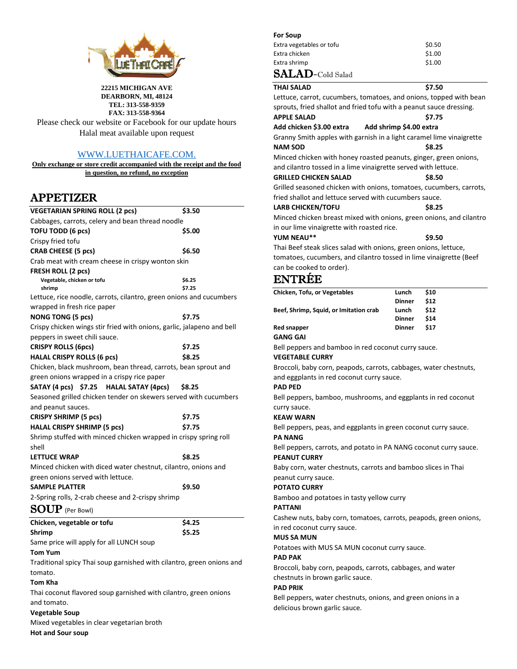

**22215 MICHIGAN AVE DEARBORN, MI, 48124 TEL: 313-558-9359 FAX: 313-558-9364**

Please check our website or Facebook for our update hours Halal meat available upon request

# [WWW.LUETHAICAFE.COM.](http://www.luethaicafe.com/)

**Only exchange or store credit accompanied with the receipt and the food in question, no refund, no exception**

# APPETIZER

| <b>VEGETARIAN SPRING ROLL (2 pcs)</b>                                     | \$3.50           |  |  |
|---------------------------------------------------------------------------|------------------|--|--|
| Cabbages, carrots, celery and bean thread noodle                          |                  |  |  |
| <b>TOFU TODD (6 pcs)</b>                                                  | \$5.00           |  |  |
| Crispy fried tofu                                                         |                  |  |  |
| CRAB CHEESE (5 pcs)                                                       | \$6.50           |  |  |
| Crab meat with cream cheese in crispy wonton skin                         |                  |  |  |
| FRESH ROLL (2 pcs)                                                        |                  |  |  |
| Vegetable, chicken or tofu<br>shrimp                                      | \$6.25<br>\$7.25 |  |  |
| Lettuce, rice noodle, carrots, cilantro, green onions and cucumbers       |                  |  |  |
| wrapped in fresh rice paper                                               |                  |  |  |
| NONG TONG (5 pcs)                                                         | \$7.75           |  |  |
| Crispy chicken wings stir fried with onions, garlic, jalapeno and bell    |                  |  |  |
| peppers in sweet chili sauce.                                             |                  |  |  |
| <b>CRISPY ROLLS (6pcs)</b>                                                | \$7.25           |  |  |
| <b>HALAL CRISPY ROLLS (6 pcs)</b>                                         | \$8.25           |  |  |
| Chicken, black mushroom, bean thread, carrots, bean sprout and            |                  |  |  |
| green onions wrapped in a crispy rice paper                               |                  |  |  |
| SATAY (4 pcs) \$7.25 HALAL SATAY (4 pcs)                                  | \$8.25           |  |  |
| Seasoned grilled chicken tender on skewers served with cucumbers          |                  |  |  |
| and peanut sauces.                                                        |                  |  |  |
| <b>CRISPY SHRIMP (5 pcs)</b>                                              | \$7.75           |  |  |
| <b>HALAL CRISPY SHRIMP (5 pcs)</b>                                        | \$7.75           |  |  |
| Shrimp stuffed with minced chicken wrapped in crispy spring roll<br>shell |                  |  |  |
| <b>LETTUCE WRAP</b>                                                       | \$8.25           |  |  |
| Minced chicken with diced water chestnut, cilantro, onions and            |                  |  |  |
| green onions served with lettuce.                                         |                  |  |  |
| <b>SAMPLE PLATTER</b>                                                     | \$9.50           |  |  |
| 2-Spring rolls, 2-crab cheese and 2-crispy shrimp                         |                  |  |  |
| <b>SOUP</b> (Per Bowl)                                                    |                  |  |  |
| Chicken, vegetable or tofu                                                | \$4.25           |  |  |
| Shrimp                                                                    | \$5.25           |  |  |
| Same price will apply for all LUNCH soup                                  |                  |  |  |
| <b>Tom Yum</b>                                                            |                  |  |  |
| Traditional spicy Thai soup garnished with cilantro, green onions and     |                  |  |  |
| tomato.                                                                   |                  |  |  |
| Tom Kha                                                                   |                  |  |  |
| Thai coconut flavored soup garnished with cilantro, green onions          |                  |  |  |
| and tomato.                                                               |                  |  |  |

# **Vegetable Soup**

Mixed vegetables in clear vegetarian broth

#### **Hot and Sour soup**

| <b>For Soup</b> |  |  |  |
|-----------------|--|--|--|
|                 |  |  |  |

| Extra vegetables or tofu                              | \$0.50 |
|-------------------------------------------------------|--------|
| Extra chicken                                         | \$1.00 |
| Extra shrimp                                          | \$1.00 |
| $\mathbf{SALAD}\text{-}\mathrm{Cold}\ \mathrm{Salad}$ |        |

| THAI SALAD                                                       | \$7.50                                                               |  |  |
|------------------------------------------------------------------|----------------------------------------------------------------------|--|--|
|                                                                  | Lettuce, carrot, cucumbers, tomatoes, and onions, topped with bean   |  |  |
|                                                                  | sprouts, fried shallot and fried tofu with a peanut sauce dressing.  |  |  |
| <b>APPLE SALAD</b>                                               | \$7.75                                                               |  |  |
| Add chicken \$3.00 extra          Add shrimp \$4.00 extra        |                                                                      |  |  |
|                                                                  | Granny Smith apples with garnish in a light caramel lime vinaigrette |  |  |
| <b>NAM SOD</b>                                                   | \$8.25                                                               |  |  |
|                                                                  | Minced chicken with honey roasted peanuts, ginger, green onions,     |  |  |
| and cilantro tossed in a lime vinaigrette served with lettuce.   |                                                                      |  |  |
| GRILLED CHICKEN SALAD                                            | \$8.50                                                               |  |  |
|                                                                  | Grilled seasoned chicken with onions, tomatoes, cucumbers, carrots,  |  |  |
| fried shallot and lettuce served with cucumbers sauce.           |                                                                      |  |  |
| <b>LARB CHICKEN/TOFU</b>                                         | <b>S8.25</b>                                                         |  |  |
|                                                                  | Minced chicken breast mixed with onions, green onions, and cilantro  |  |  |
| in our lime vinaigrette with roasted rice.                       |                                                                      |  |  |
| YUM NEAU**                                                       | \$9.50                                                               |  |  |
| Thai Beef steak slices salad with onions, green onions, lettuce, |                                                                      |  |  |
|                                                                  |                                                                      |  |  |

tomatoes, cucumbers, and cilantro tossed in lime vinaigrette (Beef can be cooked to order).

# ENTRÉE

| Chicken, Tofu, or Vegetables                        | Lunch         | \$10 |
|-----------------------------------------------------|---------------|------|
|                                                     | <b>Dinner</b> | \$12 |
| Beef, Shrimp, Squid, or Imitation crab              | Lunch         | \$12 |
|                                                     | <b>Dinner</b> | \$14 |
| <b>Red snapper</b>                                  | <b>Dinner</b> | \$17 |
| <b>GANG GAI</b>                                     |               |      |
| Bell peppers and bamboo in red coconut curry sauce. |               |      |

**VEGETABLE CURRY**

Broccoli, baby corn, peapods, carrots, cabbages, water chestnuts, and eggplants in red coconut curry sauce.

# **PAD PED**

Bell peppers, bamboo, mushrooms, and eggplants in red coconut curry sauce.

# **KEAW WARN**

Bell peppers, peas, and eggplants in green coconut curry sauce. **PA NANG**

Bell peppers, carrots, and potato in PA NANG coconut curry sauce. **PEANUT CURRY** 

Baby corn, water chestnuts, carrots and bamboo slices in Thai peanut curry sauce.

### **POTATO CURRY**

Bamboo and potatoes in tasty yellow curry

### **PATTANI**

Cashew nuts, baby corn, tomatoes, carrots, peapods, green onions, in red coconut curry sauce.

### **MUS SA MUN**

Potatoes with MUS SA MUN coconut curry sauce.

### **PAD PAK**

Broccoli, baby corn, peapods, carrots, cabbages, and water chestnuts in brown garlic sauce.

#### **PAD PRIK**

Bell peppers, water chestnuts, onions, and green onions in a delicious brown garlic sauce.